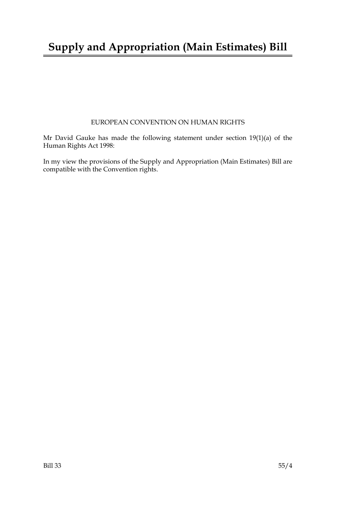# **Supply and Appropriation (Main Estimates) Bill**

### EUROPEAN CONVENTION ON HUMAN RIGHTS

Mr David Gauke has made the following statement under section 19(1)(a) of the Human Rights Act 1998:

In my view the provisions of the Supply and Appropriation (Main Estimates) Bill are compatible with the Convention rights.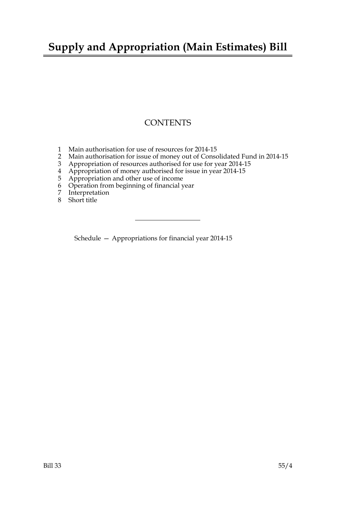# **Supply and Appropriation (Main Estimates) Bill**

## **CONTENTS**

- 1 Main authorisation for use of resources for 2014-15
- 2 Main authorisation for issue of money out of Consolidated Fund in 2014-15
- 3 Appropriation of resources authorised for use for year 2014-15
- 4 Appropriation of money authorised for issue in year 2014-15
- 5 Appropriation and other use of income
- 6 Operation from beginning of financial year
- 7 Interpretation
- 8 Short title

Schedule — Appropriations for financial year 2014-15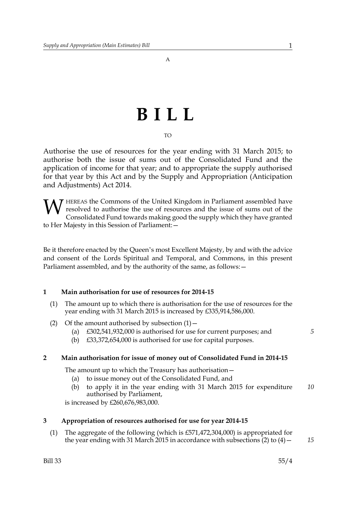A

# **BILL**

#### TO

Authorise the use of resources for the year ending with 31 March 2015; to authorise both the issue of sums out of the Consolidated Fund and the application of income for that year; and to appropriate the supply authorised for that year by this Act and by the Supply and Appropriation (Anticipation and Adjustments) Act 2014.

HEREAS the Commons of the United Kingdom in Parliament assembled have resolved to authorise the use of resources and the issue of sums out of the Consolidated Fund towards making good the supply which they have granted to Her Majesty in this Session of Parliament:— W

Be it therefore enacted by the Queen's most Excellent Majesty, by and with the advice and consent of the Lords Spiritual and Temporal, and Commons, in this present Parliament assembled, and by the authority of the same, as follows: -

#### **1 Main authorisation for use of resources for 2014-15**

- (1) The amount up to which there is authorisation for the use of resources for the year ending with 31 March 2015 is increased by £335,914,586,000.
- (2) Of the amount authorised by subsection  $(1)$ 
	- (a) £302,541,932,000 is authorised for use for current purposes; and
	- (b) £33,372,654,000 is authorised for use for capital purposes.

#### **2 Main authorisation for issue of money out of Consolidated Fund in 2014-15**

The amount up to which the Treasury has authorisation—

- (a) to issue money out of the Consolidated Fund, and
- (b) to apply it in the year ending with 31 March 2015 for expenditure authorised by Parliament, *10*

is increased by £260,676,983,000.

#### **3 Appropriation of resources authorised for use for year 2014-15**

(1) The aggregate of the following (which is £571,472,304,000) is appropriated for the year ending with 31 March 2015 in accordance with subsections  $(2)$  to  $(4)$  -*15*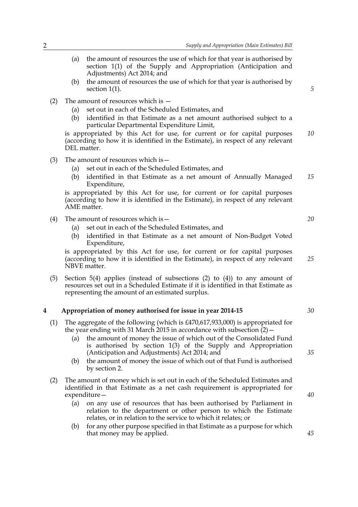- (a) the amount of resources the use of which for that year is authorised by section 1(1) of the Supply and Appropriation (Anticipation and Adjustments) Act 2014; and
- (b) the amount of resources the use of which for that year is authorised by section 1(1).

*5*

- (2) The amount of resources which is
	- (a) set out in each of the Scheduled Estimates, and
	- (b) identified in that Estimate as a net amount authorised subject to a particular Departmental Expenditure Limit,

is appropriated by this Act for use, for current or for capital purposes (according to how it is identified in the Estimate), in respect of any relevant DEL matter. *10*

- (3) The amount of resources which is  $-$ 
	- (a) set out in each of the Scheduled Estimates, and
	- (b) identified in that Estimate as a net amount of Annually Managed Expenditure, *15*

is appropriated by this Act for use, for current or for capital purposes (according to how it is identified in the Estimate), in respect of any relevant AME matter.

- (4) The amount of resources which is  $-$ 
	- (a) set out in each of the Scheduled Estimates, and
	- (b) identified in that Estimate as a net amount of Non-Budget Voted Expenditure,

is appropriated by this Act for use, for current or for capital purposes (according to how it is identified in the Estimate), in respect of any relevant NBVE matter. *25*

(5) Section 5(4) applies (instead of subsections (2) to (4)) to any amount of resources set out in a Scheduled Estimate if it is identified in that Estimate as representing the amount of an estimated surplus.

#### **4 Appropriation of money authorised for issue in year 2014-15**

- (1) The aggregate of the following (which is £470,617,933,000) is appropriated for the year ending with 31 March 2015 in accordance with subsection  $(2)$  –
	- (a) the amount of money the issue of which out of the Consolidated Fund is authorised by section 1(3) of the Supply and Appropriation (Anticipation and Adjustments) Act 2014; and
	- (b) the amount of money the issue of which out of that Fund is authorised by section 2.
- (2) The amount of money which is set out in each of the Scheduled Estimates and identified in that Estimate as a net cash requirement is appropriated for expenditure—
	- (a) on any use of resources that has been authorised by Parliament in relation to the department or other person to which the Estimate relates, or in relation to the service to which it relates; or
	- (b) for any other purpose specified in that Estimate as a purpose for which that money may be applied.

*20*

*30*

*35*

*45*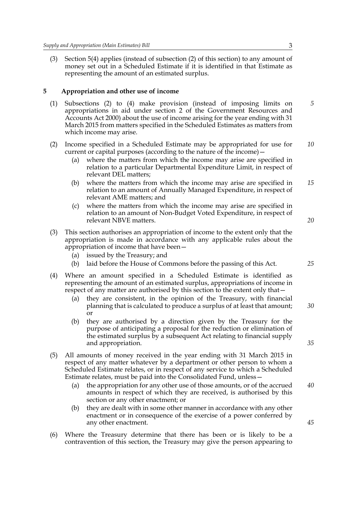(3) Section 5(4) applies (instead of subsection (2) of this section) to any amount of money set out in a Scheduled Estimate if it is identified in that Estimate as representing the amount of an estimated surplus.

#### **5 Appropriation and other use of income**

- (1) Subsections (2) to (4) make provision (instead of imposing limits on appropriations in aid under section 2 of the Government Resources and Accounts Act 2000) about the use of income arising for the year ending with 31 March 2015 from matters specified in the Scheduled Estimates as matters from which income may arise.
- (2) Income specified in a Scheduled Estimate may be appropriated for use for current or capital purposes (according to the nature of the income)— *10*
	- (a) where the matters from which the income may arise are specified in relation to a particular Departmental Expenditure Limit, in respect of relevant DEL matters;
	- (b) where the matters from which the income may arise are specified in relation to an amount of Annually Managed Expenditure, in respect of relevant AME matters; and *15*
	- (c) where the matters from which the income may arise are specified in relation to an amount of Non-Budget Voted Expenditure, in respect of relevant NBVE matters.
- (3) This section authorises an appropriation of income to the extent only that the appropriation is made in accordance with any applicable rules about the appropriation of income that have been—
	- (a) issued by the Treasury; and
	- (b) laid before the House of Commons before the passing of this Act.
- (4) Where an amount specified in a Scheduled Estimate is identified as representing the amount of an estimated surplus, appropriations of income in respect of any matter are authorised by this section to the extent only that—
	- (a) they are consistent, in the opinion of the Treasury, with financial planning that is calculated to produce a surplus of at least that amount; or *30*
	- (b) they are authorised by a direction given by the Treasury for the purpose of anticipating a proposal for the reduction or elimination of the estimated surplus by a subsequent Act relating to financial supply and appropriation.
- (5) All amounts of money received in the year ending with 31 March 2015 in respect of any matter whatever by a department or other person to whom a Scheduled Estimate relates, or in respect of any service to which a Scheduled Estimate relates, must be paid into the Consolidated Fund, unless—
	- (a) the appropriation for any other use of those amounts, or of the accrued amounts in respect of which they are received, is authorised by this section or any other enactment; or *40*
	- (b) they are dealt with in some other manner in accordance with any other enactment or in consequence of the exercise of a power conferred by any other enactment.
- (6) Where the Treasury determine that there has been or is likely to be a contravention of this section, the Treasury may give the person appearing to

*5*

*25*

*20*

*35*

*45*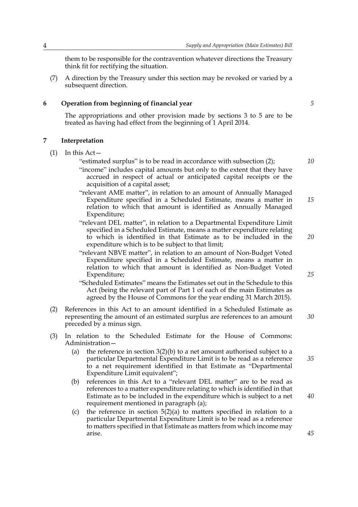them to be responsible for the contravention whatever directions the Treasury think fit for rectifying the situation.

(7) A direction by the Treasury under this section may be revoked or varied by a subsequent direction.

#### **6 Operation from beginning of financial year**

The appropriations and other provision made by sections 3 to 5 are to be treated as having had effect from the beginning of 1 April 2014.

#### **7 Interpretation**

 $(1)$  In this Act –

"estimated surplus" is to be read in accordance with subsection (2);

- "income" includes capital amounts but only to the extent that they have accrued in respect of actual or anticipated capital receipts or the acquisition of a capital asset;
- "relevant AME matter", in relation to an amount of Annually Managed Expenditure specified in a Scheduled Estimate, means a matter in relation to which that amount is identified as Annually Managed Expenditure;
- "relevant DEL matter", in relation to a Departmental Expenditure Limit specified in a Scheduled Estimate, means a matter expenditure relating to which is identified in that Estimate as to be included in the expenditure which is to be subject to that limit;
- "relevant NBVE matter", in relation to an amount of Non-Budget Voted Expenditure specified in a Scheduled Estimate, means a matter in relation to which that amount is identified as Non-Budget Voted Expenditure;

"Scheduled Estimates" means the Estimates set out in the Schedule to this Act (being the relevant part of Part 1 of each of the main Estimates as agreed by the House of Commons for the year ending 31 March 2015).

- (2) References in this Act to an amount identified in a Scheduled Estimate as representing the amount of an estimated surplus are references to an amount preceded by a minus sign.
- (3) In relation to the Scheduled Estimate for the House of Commons: Administration—
	- (a) the reference in section  $3(2)(b)$  to a net amount authorised subject to a particular Departmental Expenditure Limit is to be read as a reference to a net requirement identified in that Estimate as "Departmental Expenditure Limit equivalent";
	- (b) references in this Act to a "relevant DEL matter" are to be read as references to a matter expenditure relating to which is identified in that Estimate as to be included in the expenditure which is subject to a net requirement mentioned in paragraph (a);
	- (c) the reference in section 5(2)(a) to matters specified in relation to a particular Departmental Expenditure Limit is to be read as a reference to matters specified in that Estimate as matters from which income may arise.

*5*

*15*

*10*

*20*

*30*

*35*

*40*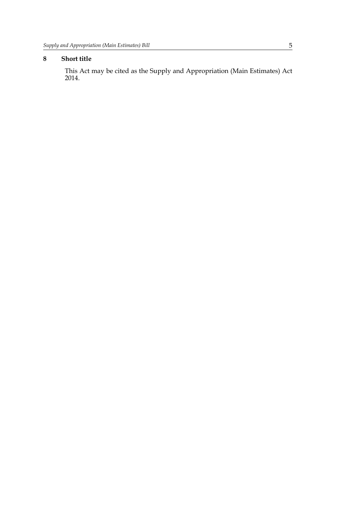## **8 Short title**

This Act may be cited as the Supply and Appropriation (Main Estimates) Act 2014.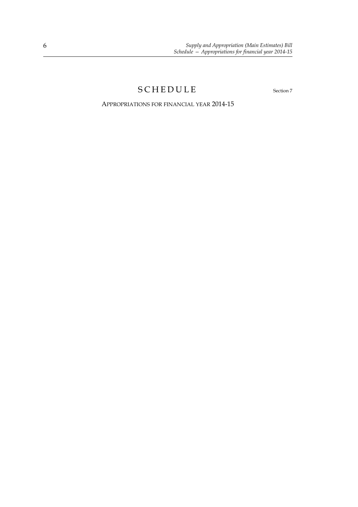## SCHEDULE Section 7

APPROPRIATIONS FOR FINANCIAL YEAR 2014-15